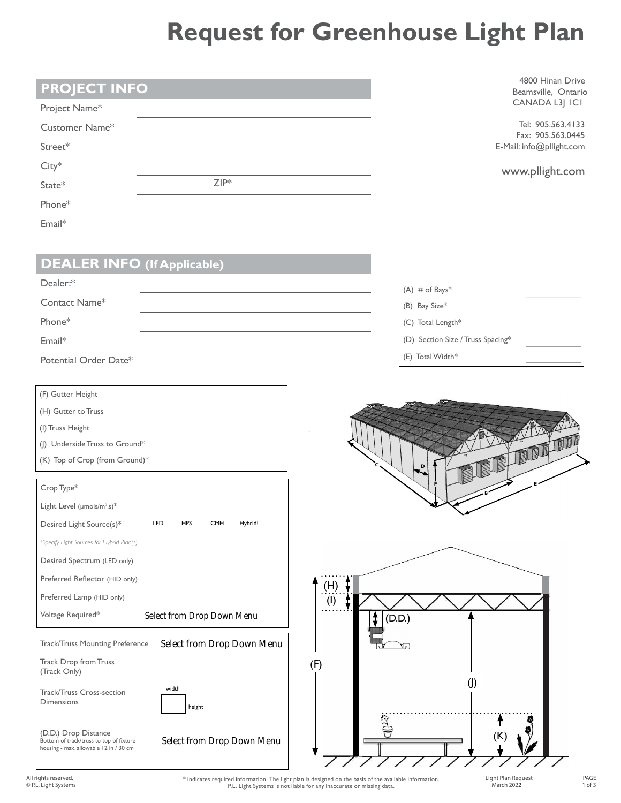## **Request for Greenhouse Light Plan**

| <b>PROJECT INFO</b>                                                               |                                                        |     |                                    | 4800 Hinan Drive<br>Beamsville, Ontario       |
|-----------------------------------------------------------------------------------|--------------------------------------------------------|-----|------------------------------------|-----------------------------------------------|
| Project Name*                                                                     |                                                        |     |                                    | CANADA L3J ICI                                |
| Customer Name*                                                                    |                                                        |     |                                    | Tel: 905.563.4133                             |
| Street*                                                                           |                                                        |     |                                    | Fax: 905.563.0445<br>E-Mail: info@pllight.com |
| $City*$                                                                           |                                                        |     |                                    |                                               |
| State*                                                                            | $ZIP^*$                                                |     |                                    | www.pllight.com                               |
| Phone*                                                                            |                                                        |     |                                    |                                               |
| Email*                                                                            |                                                        |     |                                    |                                               |
|                                                                                   |                                                        |     |                                    |                                               |
| <b>DEALER INFO (If Applicable)</b>                                                |                                                        |     |                                    |                                               |
| Dealer:*                                                                          |                                                        |     |                                    |                                               |
| Contact Name*                                                                     |                                                        |     | $(A)$ # of Bays*                   |                                               |
| Phone*                                                                            |                                                        |     | (B) Bay Size*<br>(C) Total Length* |                                               |
|                                                                                   |                                                        |     | (D) Section Size / Truss Spacing*  |                                               |
| Email*                                                                            |                                                        |     | (E) Total Width*                   |                                               |
| Potential Order Date*                                                             |                                                        |     |                                    |                                               |
| (F) Gutter Height                                                                 |                                                        |     |                                    |                                               |
| (H) Gutter to Truss                                                               |                                                        |     |                                    |                                               |
| (I) Truss Height                                                                  |                                                        |     |                                    |                                               |
| (J) Underside Truss to Ground*                                                    |                                                        |     |                                    | THE THE                                       |
| (K) Top of Crop (from Ground)*                                                    |                                                        |     | $\overline{\mathbf{D}}$            |                                               |
| Crop Type*                                                                        |                                                        |     |                                    |                                               |
| Light Level (µmols/m <sup>2</sup> .s)*                                            |                                                        |     |                                    |                                               |
| Desired Light Source(s)*                                                          | LED<br><b>HPS</b><br><b>CMH</b><br>Hybrid <sup>+</sup> |     |                                    |                                               |
| <sup>†</sup> Specify Light Sources for Hybrid Plan(s)                             |                                                        |     |                                    |                                               |
| Desired Spectrum (LED only)                                                       |                                                        |     |                                    |                                               |
| Preferred Reflector (HID only)                                                    |                                                        | (H) |                                    |                                               |
| Preferred Lamp (HID only)                                                         |                                                        | (1) |                                    |                                               |
| Voltage Required*                                                                 | Select from Drop Down Menu                             |     | $\ddagger$<br>(D.D.)               |                                               |
| Track/Truss Mounting Preference                                                   | Select from Drop Down Menu                             |     | Ди                                 |                                               |
| Track Drop from Truss                                                             |                                                        | (F) |                                    |                                               |
| (Track Only)                                                                      |                                                        |     | $\left( \right)$                   |                                               |
| Track/Truss Cross-section<br>Dimensions                                           | width                                                  |     |                                    |                                               |
|                                                                                   | height                                                 |     |                                    |                                               |
| (D.D.) Drop Distance                                                              |                                                        |     | (K)                                |                                               |
| Bottom of track/truss to top of fixture<br>housing - max. allowable 12 in / 30 cm | Select from Drop Down Menu                             |     |                                    |                                               |
|                                                                                   |                                                        |     |                                    |                                               |

All rights reserved. © P.L. Light Systems \* Indicates required information. The light plan is designed on the basis of the available information. P.L. Light Systems is not liable for any inaccurate or missing data.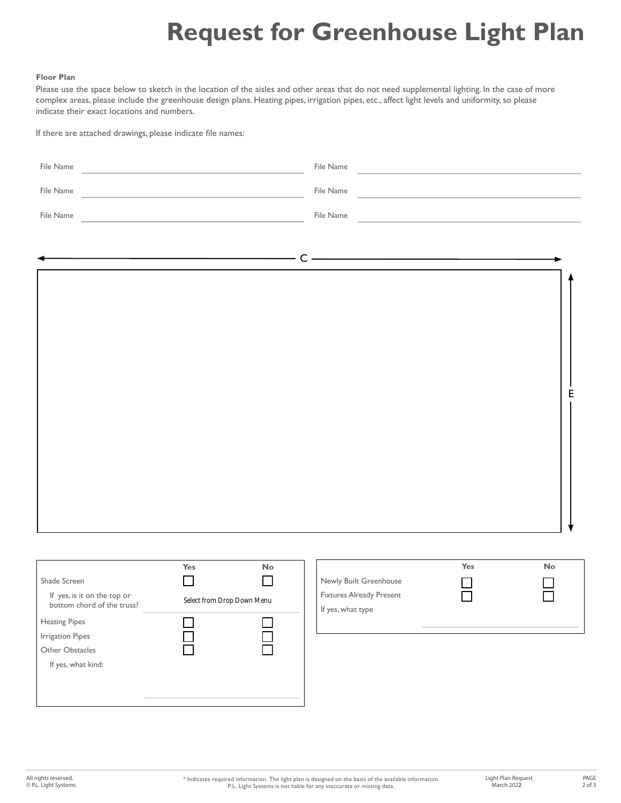## **Request for Greenhouse Light Plan**

## **Floor Plan**

Please use the space below to sketch in the location of the aisles and other areas that do not need supplemental lighting. In the case of more complex areas, please include the greenhouse design plans. Heating pipes, irrigation pipes, etc., affect light levels and uniformity, so please indicate their exact locations and numbers.

If there are attached drawings, please indicate file names:

| File Name                                                                                                                                                             | <u> 1980 - Andrea Andrew Maria (h. 1980).</u>                                                                                                                                                                                                                                                                                                                                                                                                                                   | File Name                                                                      | <u> 1980 - Jan Stein Berlin, amerikan berlin besteht als der stadt andere som beste andere som beste andere som </u> |
|-----------------------------------------------------------------------------------------------------------------------------------------------------------------------|---------------------------------------------------------------------------------------------------------------------------------------------------------------------------------------------------------------------------------------------------------------------------------------------------------------------------------------------------------------------------------------------------------------------------------------------------------------------------------|--------------------------------------------------------------------------------|----------------------------------------------------------------------------------------------------------------------|
| File Name                                                                                                                                                             | <u> 1980 - Johann Barbara, martxa alemaniar a</u>                                                                                                                                                                                                                                                                                                                                                                                                                               | File Name                                                                      | the control of the control of the control of the control of the control of                                           |
| File Name                                                                                                                                                             | <u> 1989 - Johann Barn, mars ann an t-Amhain Aonaich an t-Aonaich an t-Aonaich an t-Aonaich an t-Aonaich an t-Aon</u>                                                                                                                                                                                                                                                                                                                                                           | File Name                                                                      | the control of the control of the control of the control of the control of                                           |
|                                                                                                                                                                       |                                                                                                                                                                                                                                                                                                                                                                                                                                                                                 |                                                                                |                                                                                                                      |
|                                                                                                                                                                       | $\overline{\phantom{a}}$ $\overline{\phantom{a}}$ $\overline{\phantom{a}}$ $\overline{\phantom{a}}$ $\overline{\phantom{a}}$ $\overline{\phantom{a}}$ $\overline{\phantom{a}}$ $\overline{\phantom{a}}$ $\overline{\phantom{a}}$ $\overline{\phantom{a}}$ $\overline{\phantom{a}}$ $\overline{\phantom{a}}$ $\overline{\phantom{a}}$ $\overline{\phantom{a}}$ $\overline{\phantom{a}}$ $\overline{\phantom{a}}$ $\overline{\phantom{a}}$ $\overline{\phantom{a}}$ $\overline{\$ |                                                                                |                                                                                                                      |
|                                                                                                                                                                       |                                                                                                                                                                                                                                                                                                                                                                                                                                                                                 |                                                                                | E                                                                                                                    |
| Shade Screen<br>If yes, is it on the top or<br>bottom chord of the truss?<br><b>Heating Pipes</b><br><b>Irrigation Pipes</b><br>Other Obstacles<br>If yes, what kind: | Yes<br>No<br>$\mathcal{L}_{\mathcal{A}}$<br>$\mathcal{L}$<br>Select from Drop Down Menu                                                                                                                                                                                                                                                                                                                                                                                         | Newly Built Greenhouse<br><b>Fixtures Already Present</b><br>If yes, what type | Yes<br>No                                                                                                            |